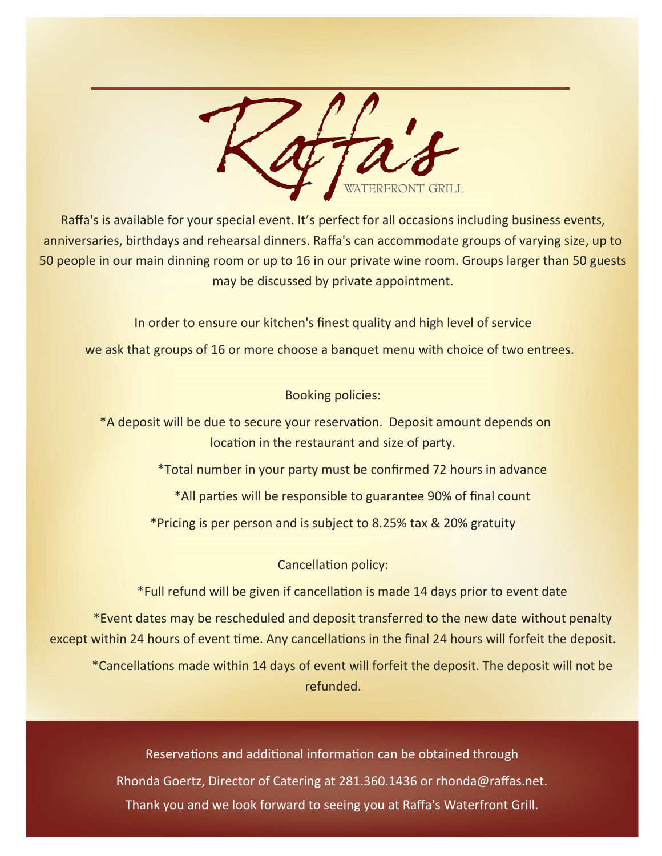

Raffa's is available for your special event. It's perfect for all occasions including business events, anniversaries, birthdays and rehearsal dinners. Raffa's can accommodate groups of varying size, up to 50 people in our main dinning room or up to 16 in our private wine room. Groups larger than 50 guests may be discussed by private appointment.

In order to ensure our kitchen's finest quality and high level of service

we ask that groups of 16 or more choose a banquet menu with choice of two entrees.

Booking policies:

\*A deposit will be due to secure your reservation. Deposit amount depends on location in the restaurant and size of party.

\*Total number in your party must be confirmed 72 hours in advance

\*All parties will be responsible to guarantee 90% of final count

\*Pricing is per person and is subject to 8.25% tax & 20% gratuity

Cancellation policy:

\*Full refund will be given if cancellation is made 14 days prior to event date

\*Event dates may be rescheduled and deposit transferred to the new date without penalty except within 24 hours of event time. Any cancellations in the final 24 hours will forfeit the deposit.

\*Cancellations made within 14 days of event will forfeit the deposit. The deposit will not be refunded.

Reservations and additional information can be obtained through Rhonda Goertz, Director of Catering at 281.360.1436 or rhonda@raffas.net. Thank you and we look forward to seeing you at Raffa's Waterfront Grill.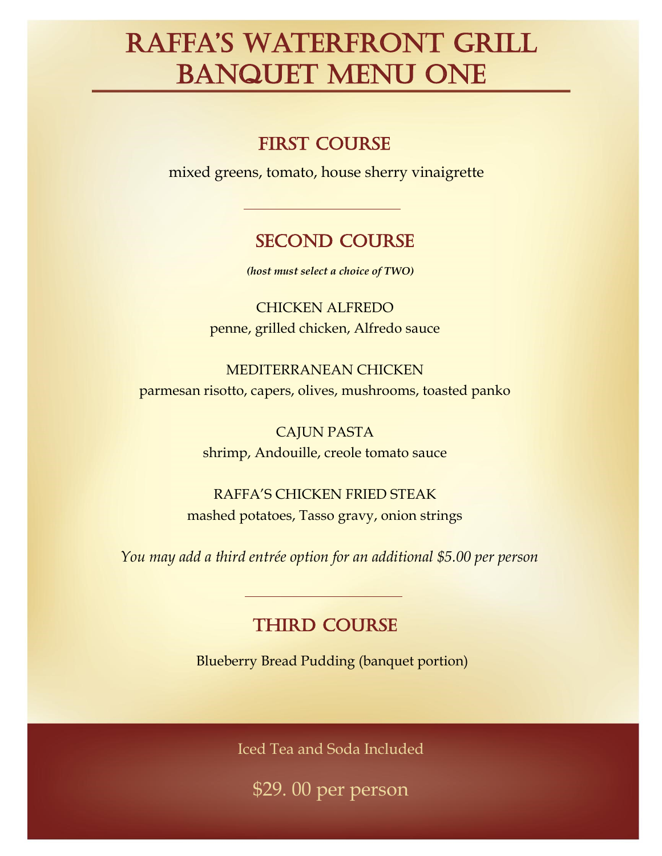# Raffa's WateRfRont GRill BANQUET MENU ONE

### **FIRST COURSE**

mixed greens, tomato, house sherry vinaigrette

#### second course

*(host must select a choice of TWO)*

CHICKEN ALFREDO penne, grilled chicken, Alfredo sauce

MEDITERRANEAN CHICKEN parmesan risotto, capers, olives, mushrooms, toasted panko

> CAJUN PASTA shrimp, Andouille, creole tomato sauce

RAFFA'S CHICKEN FRIED STEAK mashed potatoes, Tasso gravy, onion strings

*You may add a third entrée option for an additional \$5.00 per person*

### **THIRD COURSE**

Blueberry Bread Pudding (banquet portion)

Iced Tea and Soda Included

\$29. 00 per person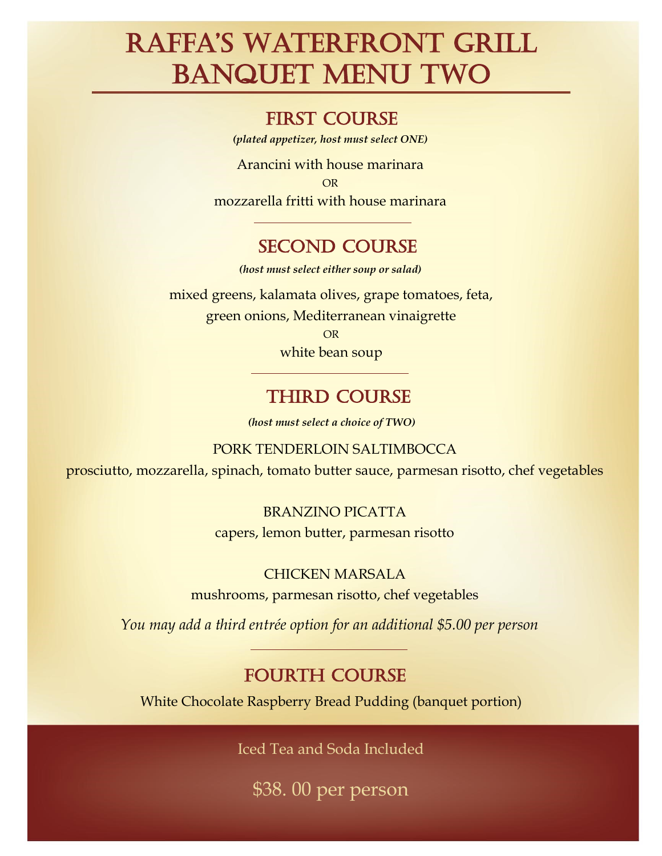# Raffa's WateRfRont GRill BANQUET MENU TWO

#### first course

*(plated appetizer, host must select ONE)*

Arancini with house marinara OR mozzarella fritti with house marinara

### second course

*(host must select either soup or salad)*

mixed greens, kalamata olives, grape tomatoes, feta, green onions, Mediterranean vinaigrette OR white bean soup

### **THIRD COURSE**

*(host must select a choice of TWO)*

PORK TENDERLOIN SALTIMBOCCA

prosciutto, mozzarella, spinach, tomato butter sauce, parmesan risotto, chef vegetables

#### BRANZINO PICATTA

capers, lemon butter, parmesan risotto

#### CHICKEN MARSALA

mushrooms, parmesan risotto, chef vegetables

*You may add a third entrée option for an additional \$5.00 per person*

#### **FOURTH COURSE**

White Chocolate Raspberry Bread Pudding (banquet portion)

Iced Tea and Soda Included

\$38. 00 per person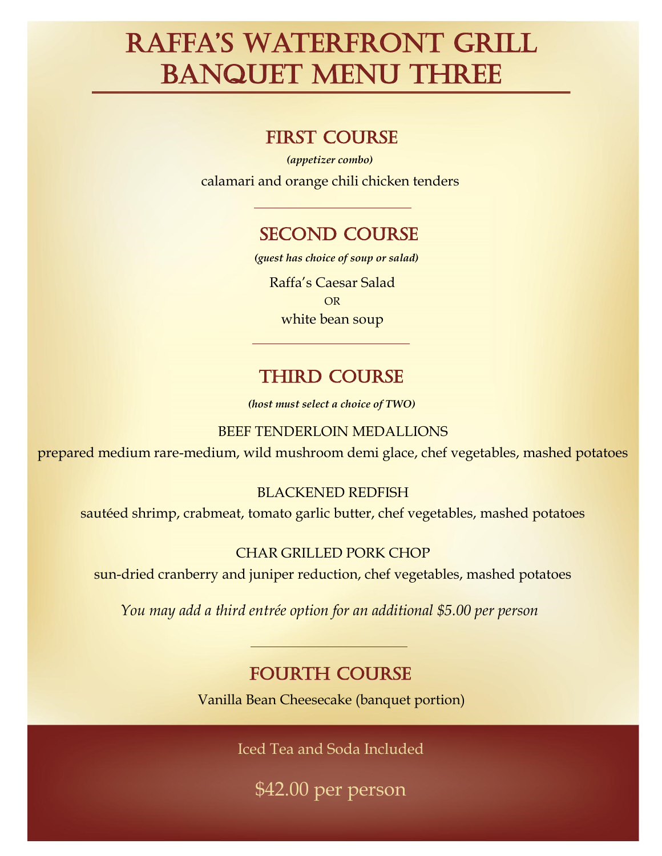# Raffa's WateRfRont GRill BANQUET MENU THREE

#### first course

calamari and orange chili chicken tenders *(appetizer combo)*

### second course

*(guest has choice of soup or salad)*

Raffa's Caesar Salad OR white bean soup

## **THIRD COURSE**

*(host must select a choice of TWO)*

BEEF TENDERLOIN MEDALLIONS

prepared medium rare-medium, wild mushroom demi glace, chef vegetables, mashed potatoes

#### BLACKENED REDFISH

sautéed shrimp, crabmeat, tomato garlic butter, chef vegetables, mashed potatoes

#### CHAR GRILLED PORK CHOP

sun-dried cranberry and juniper reduction, chef vegetables, mashed potatoes

*You may add a third entrée option for an additional \$5.00 per person*

## fourth course

Vanilla Bean Cheesecake (banquet portion)

Iced Tea and Soda Included

\$42.00 per person